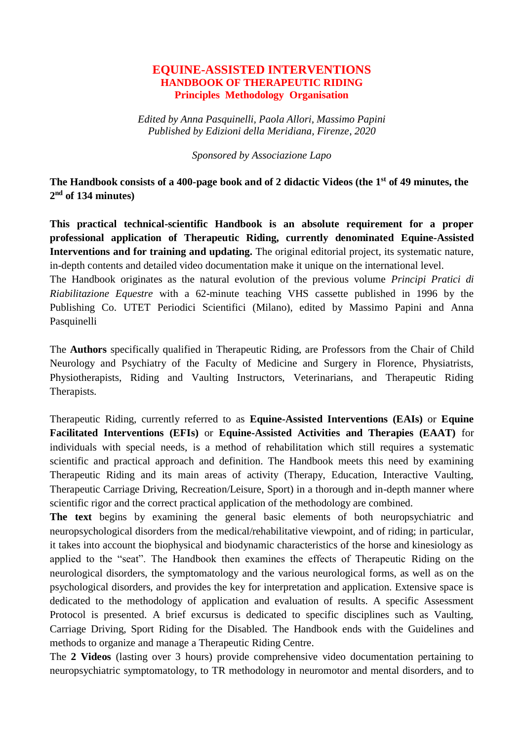## **EQUINE-ASSISTED INTERVENTIONS HANDBOOK OF THERAPEUTIC RIDING Principles Methodology Organisation**

*Edited by Anna Pasquinelli, Paola Allori, Massimo Papini Published by Edizioni della Meridiana, Firenze, 2020*

*Sponsored by Associazione Lapo*

**The Handbook consists of a 400-page book and of 2 didactic Videos (the 1st of 49 minutes, the 2 nd of 134 minutes)**

**This practical technical-scientific Handbook is an absolute requirement for a proper professional application of Therapeutic Riding, currently denominated Equine-Assisted Interventions and for training and updating.** The original editorial project, its systematic nature, in-depth contents and detailed video documentation make it unique on the international level.

The Handbook originates as the natural evolution of the previous volume *Principi Pratici di Riabilitazione Equestre* with a 62-minute teaching VHS cassette published in 1996 by the Publishing Co. UTET Periodici Scientifici (Milano), edited by Massimo Papini and Anna Pasquinelli

The **Authors** specifically qualified in Therapeutic Riding, are Professors from the Chair of Child Neurology and Psychiatry of the Faculty of Medicine and Surgery in Florence, Physiatrists, Physiotherapists, Riding and Vaulting Instructors, Veterinarians, and Therapeutic Riding Therapists.

Therapeutic Riding, currently referred to as **Equine-Assisted Interventions (EAIs)** or **Equine Facilitated Interventions (EFIs)** or **Equine-Assisted Activities and Therapies (EAAT)** for individuals with special needs, is a method of rehabilitation which still requires a systematic scientific and practical approach and definition. The Handbook meets this need by examining Therapeutic Riding and its main areas of activity (Therapy, Education, Interactive Vaulting, Therapeutic Carriage Driving, Recreation/Leisure, Sport) in a thorough and in-depth manner where scientific rigor and the correct practical application of the methodology are combined.

**The text** begins by examining the general basic elements of both neuropsychiatric and neuropsychological disorders from the medical/rehabilitative viewpoint, and of riding; in particular, it takes into account the biophysical and biodynamic characteristics of the horse and kinesiology as applied to the "seat". The Handbook then examines the effects of Therapeutic Riding on the neurological disorders, the symptomatology and the various neurological forms, as well as on the psychological disorders, and provides the key for interpretation and application. Extensive space is dedicated to the methodology of application and evaluation of results. A specific Assessment Protocol is presented. A brief excursus is dedicated to specific disciplines such as Vaulting, Carriage Driving, Sport Riding for the Disabled. The Handbook ends with the Guidelines and methods to organize and manage a Therapeutic Riding Centre.

The **2 Videos** (lasting over 3 hours) provide comprehensive video documentation pertaining to neuropsychiatric symptomatology, to TR methodology in neuromotor and mental disorders, and to